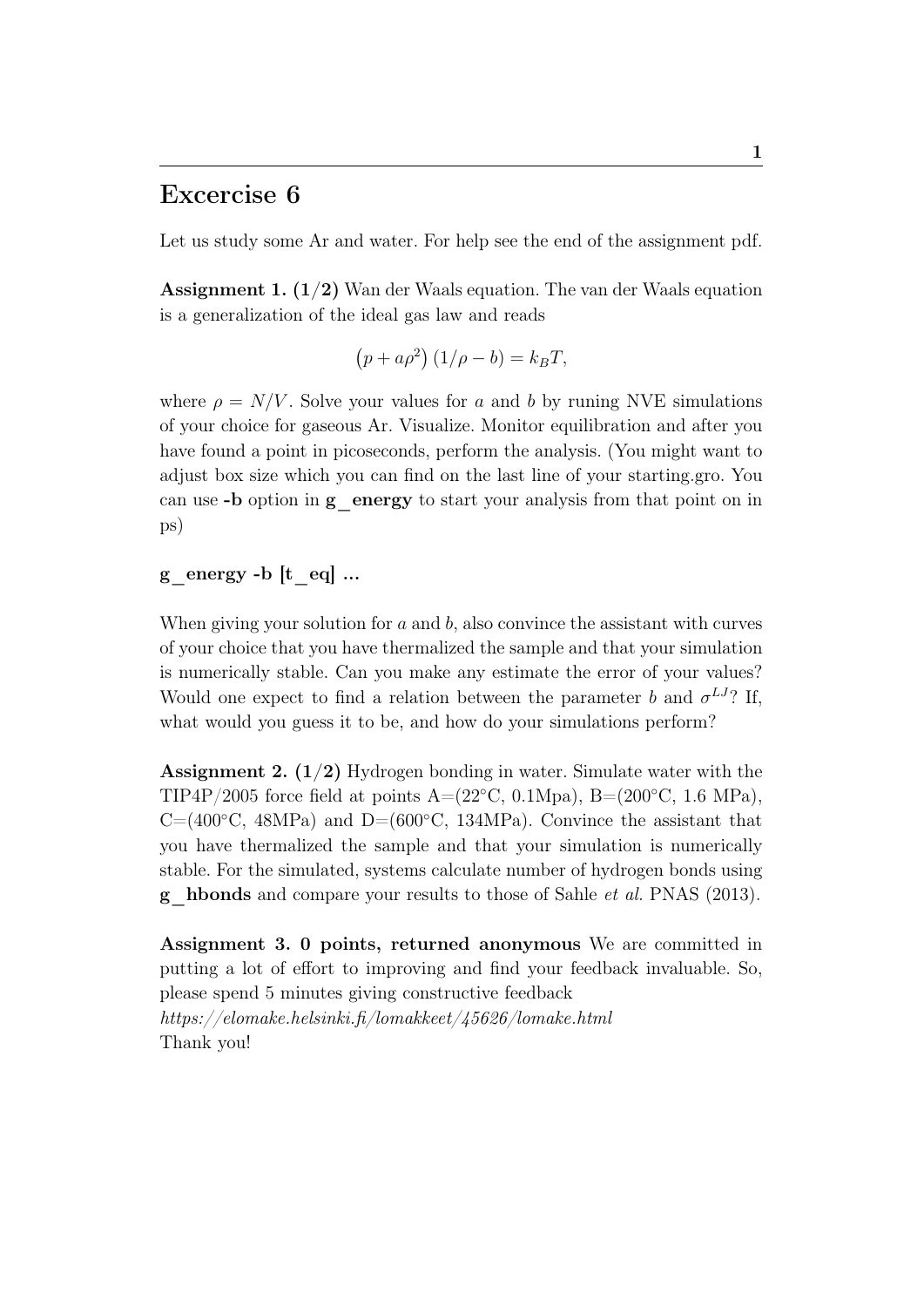# Excercise 6

Let us study some Ar and water. For help see the end of the assignment pdf.

**Assignment 1.**  $(1/2)$  Wan der Waals equation. The van der Waals equation is a generalization of the ideal gas law and reads

$$
(p + a\rho^2) (1/\rho - b) = k_B T,
$$

where  $\rho = N/V$ . Solve your values for a and b by runing NVE simulations of your choice for gaseous Ar. Visualize. Monitor equilibration and after you have found a point in picoseconds, perform the analysis. (You might want to adjust box size which you can find on the last line of your starting.gro. You can use -b option in g\_energy to start your analysis from that point on in ps)

## g energy -b  $[t$  eq.  $\ldots$

When giving your solution for  $a$  and  $b$ , also convince the assistant with curves of your choice that you have thermalized the sample and that your simulation is numerically stable. Can you make any estimate the error of your values? Would one expect to find a relation between the parameter b and  $\sigma^{LJ}$ ? If, what would you guess it to be, and how do your simulations perform?

**Assignment 2.**  $(1/2)$  Hydrogen bonding in water. Simulate water with the TIP4P/2005 force field at points  $A=(22°C, 0.1Mpa)$ ,  $B=(200°C, 1.6 MPa)$ ,  $C=(400°C, 48MPa)$  and  $D=(600°C, 134MPa)$ . Convince the assistant that you have thermalized the sample and that your simulation is numerically stable. For the simulated, systems calculate number of hydrogen bonds using g\_hbonds and compare your results to those of Sahle et al. PNAS (2013).

Assignment 3. 0 points, returned anonymous We are committed in putting a lot of effort to improving and find your feedback invaluable. So, please spend 5 minutes giving constructive feedback https://elomake.helsinki.fi/lomakkeet/45626/lomake.html Thank you!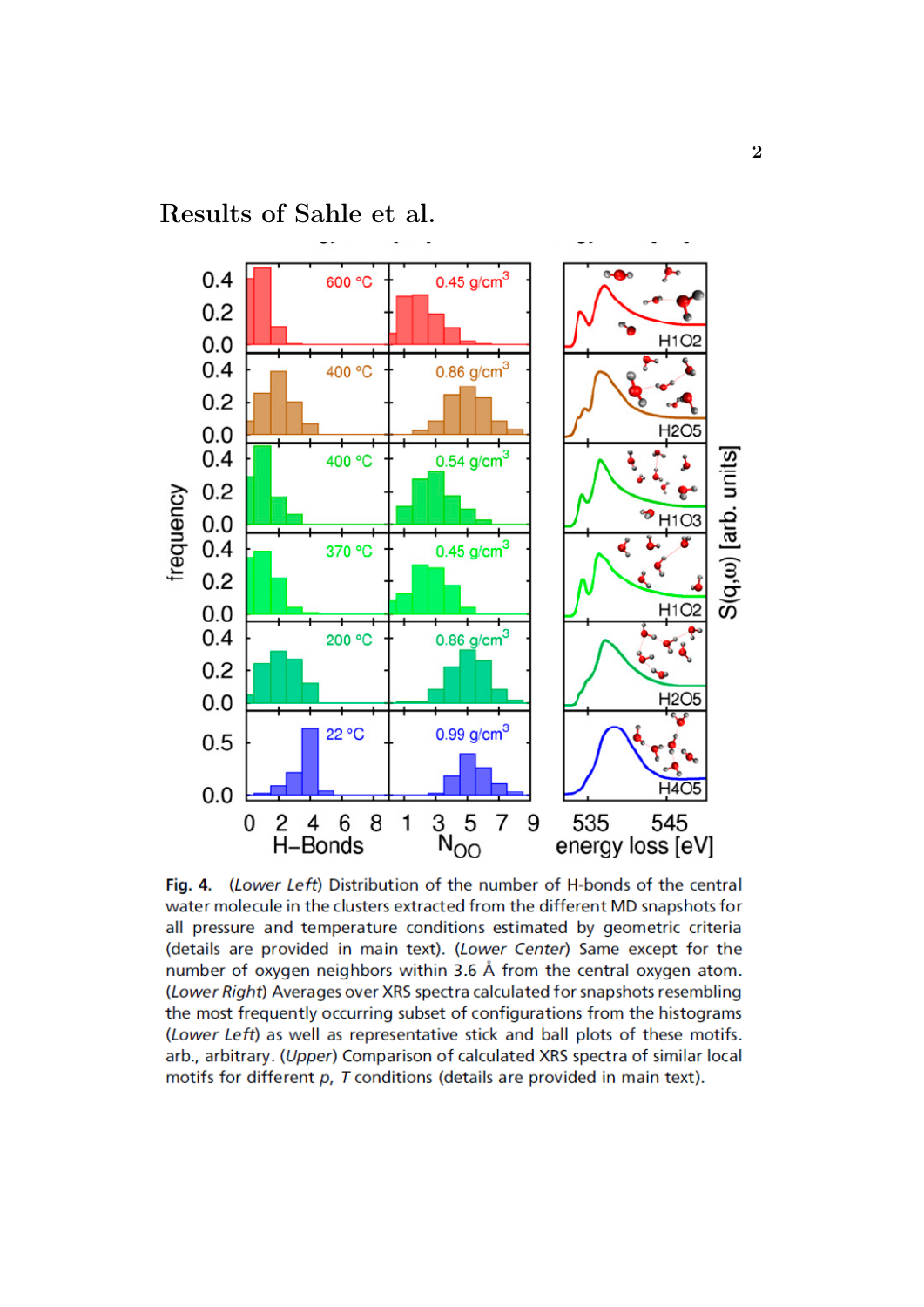

Fig. 4. (Lower Left) Distribution of the number of H-bonds of the central water molecule in the clusters extracted from the different MD snapshots for all pressure and temperature conditions estimated by geometric criteria (details are provided in main text). (Lower Center) Same except for the number of oxygen neighbors within 3.6 Å from the central oxygen atom. (Lower Right) Averages over XRS spectra calculated for snapshots resembling the most frequently occurring subset of configurations from the histograms (Lower Left) as well as representative stick and ball plots of these motifs. arb., arbitrary. (Upper) Comparison of calculated XRS spectra of similar local motifs for different  $p$ ,  $T$  conditions (details are provided in main text).